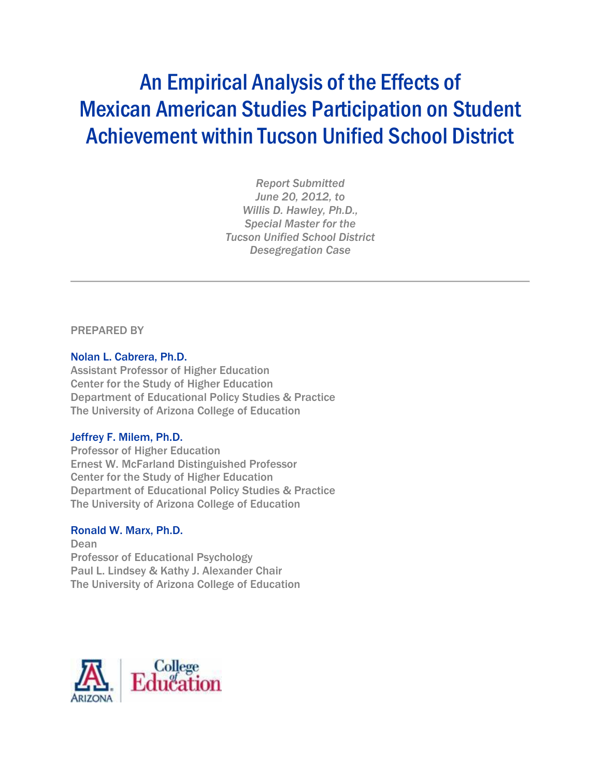# An Empirical Analysis of the Effects of Mexican American Studies Participation on Student Achievement within Tucson Unified School District

*Report Submitted June 20, 2012, to Willis D. Hawley, Ph.D., Special Master for the Tucson Unified School District Desegregation Case*

PREPARED BY

#### Nolan L. Cabrera, Ph.D.

Assistant Professor of Higher Education Center for the Study of Higher Education Department of Educational Policy Studies & Practice The University of Arizona College of Education

#### Jeffrey F. Milem, Ph.D.

Professor of Higher Education Ernest W. McFarland Distinguished Professor Center for the Study of Higher Education Department of Educational Policy Studies & Practice The University of Arizona College of Education

#### Ronald W. Marx, Ph.D.

Dean Professor of Educational Psychology Paul L. Lindsey & Kathy J. Alexander Chair The University of Arizona College of Education

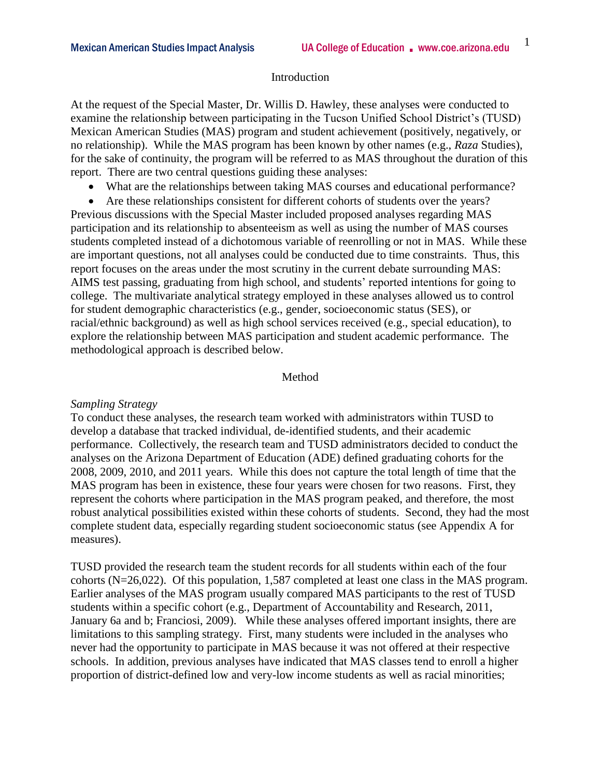#### Introduction

At the request of the Special Master, Dr. Willis D. Hawley, these analyses were conducted to examine the relationship between participating in the Tucson Unified School District's (TUSD) Mexican American Studies (MAS) program and student achievement (positively, negatively, or no relationship). While the MAS program has been known by other names (e.g., *Raza* Studies), for the sake of continuity, the program will be referred to as MAS throughout the duration of this report. There are two central questions guiding these analyses:

- What are the relationships between taking MAS courses and educational performance?
- Are these relationships consistent for different cohorts of students over the years?

Previous discussions with the Special Master included proposed analyses regarding MAS participation and its relationship to absenteeism as well as using the number of MAS courses students completed instead of a dichotomous variable of reenrolling or not in MAS. While these are important questions, not all analyses could be conducted due to time constraints. Thus, this report focuses on the areas under the most scrutiny in the current debate surrounding MAS: AIMS test passing, graduating from high school, and students' reported intentions for going to college. The multivariate analytical strategy employed in these analyses allowed us to control for student demographic characteristics (e.g., gender, socioeconomic status (SES), or racial/ethnic background) as well as high school services received (e.g., special education), to explore the relationship between MAS participation and student academic performance. The methodological approach is described below.

#### Method

#### *Sampling Strategy*

To conduct these analyses, the research team worked with administrators within TUSD to develop a database that tracked individual, de-identified students, and their academic performance. Collectively, the research team and TUSD administrators decided to conduct the analyses on the Arizona Department of Education (ADE) defined graduating cohorts for the 2008, 2009, 2010, and 2011 years. While this does not capture the total length of time that the MAS program has been in existence, these four years were chosen for two reasons. First, they represent the cohorts where participation in the MAS program peaked, and therefore, the most robust analytical possibilities existed within these cohorts of students. Second, they had the most complete student data, especially regarding student socioeconomic status (see Appendix A for measures).

TUSD provided the research team the student records for all students within each of the four cohorts (N=26,022). Of this population, 1,587 completed at least one class in the MAS program. Earlier analyses of the MAS program usually compared MAS participants to the rest of TUSD students within a specific cohort (e.g., Department of Accountability and Research, 2011, January 6a and b; Franciosi, 2009). While these analyses offered important insights, there are limitations to this sampling strategy. First, many students were included in the analyses who never had the opportunity to participate in MAS because it was not offered at their respective schools. In addition, previous analyses have indicated that MAS classes tend to enroll a higher proportion of district-defined low and very-low income students as well as racial minorities;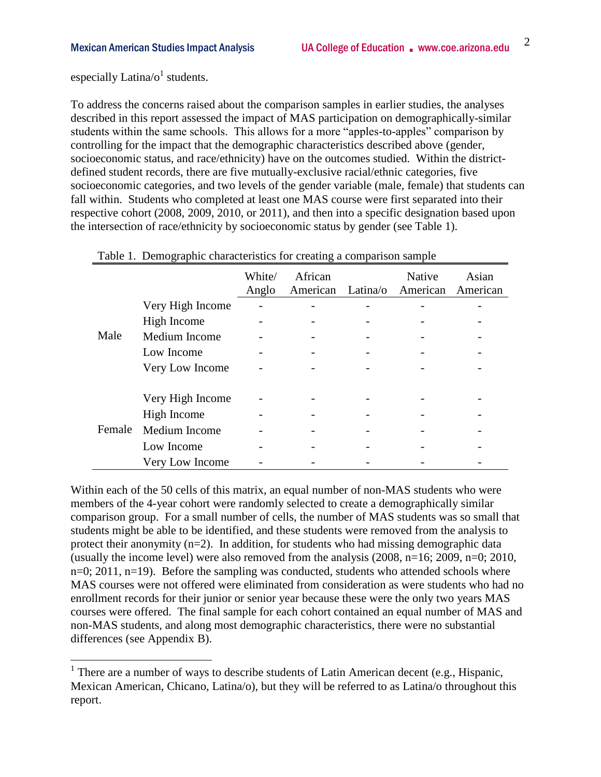especially Latina/ $o<sup>1</sup>$  students.

 $\overline{a}$ 

To address the concerns raised about the comparison samples in earlier studies, the analyses described in this report assessed the impact of MAS participation on demographically-similar students within the same schools. This allows for a more "apples-to-apples" comparison by controlling for the impact that the demographic characteristics described above (gender, socioeconomic status, and race/ethnicity) have on the outcomes studied. Within the districtdefined student records, there are five mutually-exclusive racial/ethnic categories, five socioeconomic categories, and two levels of the gender variable (male, female) that students can fall within. Students who completed at least one MAS course were first separated into their respective cohort (2008, 2009, 2010, or 2011), and then into a specific designation based upon the intersection of race/ethnicity by socioeconomic status by gender (see Table 1).

|        |                  | White/<br>Anglo | African<br>American | <b>Native</b><br>Latina/o American | Asian<br>American |
|--------|------------------|-----------------|---------------------|------------------------------------|-------------------|
|        | Very High Income |                 |                     |                                    |                   |
|        | High Income      |                 |                     |                                    |                   |
| Male   | Medium Income    |                 |                     |                                    |                   |
|        | Low Income       |                 |                     |                                    |                   |
|        | Very Low Income  |                 |                     |                                    |                   |
|        |                  |                 |                     |                                    |                   |
|        | Very High Income |                 |                     |                                    |                   |
|        | High Income      |                 |                     |                                    |                   |
| Female | Medium Income    |                 |                     |                                    |                   |
|        | Low Income       |                 |                     |                                    |                   |
|        | Very Low Income  |                 |                     |                                    |                   |

|  | Table 1. Demographic characteristics for creating a comparison sample |  |  |
|--|-----------------------------------------------------------------------|--|--|
|  |                                                                       |  |  |

Within each of the 50 cells of this matrix, an equal number of non-MAS students who were members of the 4-year cohort were randomly selected to create a demographically similar comparison group. For a small number of cells, the number of MAS students was so small that students might be able to be identified, and these students were removed from the analysis to protect their anonymity (n=2). In addition, for students who had missing demographic data (usually the income level) were also removed from the analysis  $(2008, n=16; 2009, n=0; 2010,$  $n=0$ ; 2011,  $n=19$ ). Before the sampling was conducted, students who attended schools where MAS courses were not offered were eliminated from consideration as were students who had no enrollment records for their junior or senior year because these were the only two years MAS courses were offered. The final sample for each cohort contained an equal number of MAS and non-MAS students, and along most demographic characteristics, there were no substantial differences (see Appendix B).

<sup>&</sup>lt;sup>1</sup> There are a number of ways to describe students of Latin American decent (e.g., Hispanic, Mexican American, Chicano, Latina/o), but they will be referred to as Latina/o throughout this report.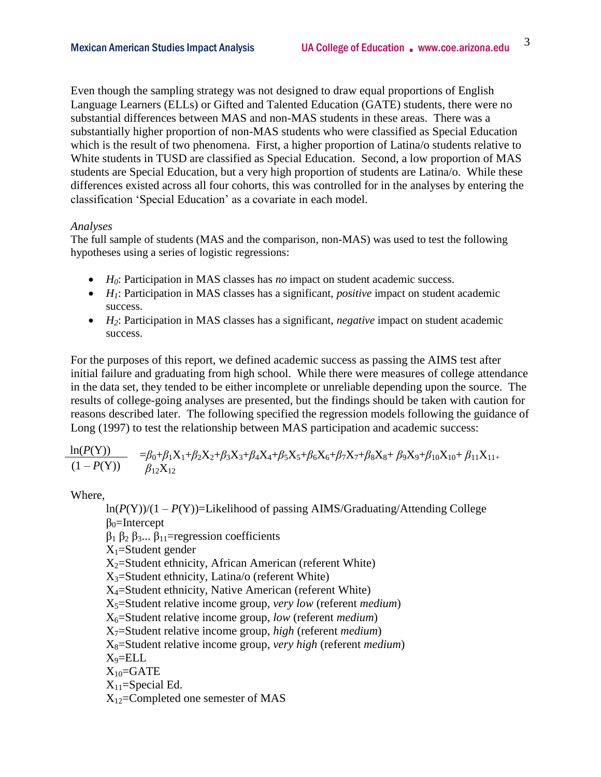Even though the sampling strategy was not designed to draw equal proportions of English Language Learners (ELLs) or Gifted and Talented Education (GATE) students, there were no substantial differences between MAS and non-MAS students in these areas. There was a substantially higher proportion of non-MAS students who were classified as Special Education which is the result of two phenomena. First, a higher proportion of Latina/o students relative to White students in TUSD are classified as Special Education. Second, a low proportion of MAS students are Special Education, but a very high proportion of students are Latina/o. While these differences existed across all four cohorts, this was controlled for in the analyses by entering the classification 'Special Education' as a covariate in each model.

#### *Analyses*

The full sample of students (MAS and the comparison, non-MAS) was used to test the following hypotheses using a series of logistic regressions:

- *H0*: Participation in MAS classes has *no* impact on student academic success.
- *H<sub>1</sub>*: Participation in MAS classes has a significant, *positive* impact on student academic success.
- *H*<sub>2</sub>: Participation in MAS classes has a significant, *negative* impact on student academic success.

For the purposes of this report, we defined academic success as passing the AIMS test after initial failure and graduating from high school. While there were measures of college attendance in the data set, they tended to be either incomplete or unreliable depending upon the source. The results of college-going analyses are presented, but the findings should be taken with caution for reasons described later. The following specified the regression models following the guidance of Long (1997) to test the relationship between MAS participation and academic success:

$$
\frac{\ln(P(Y))}{(1 - P(Y))} = \beta_0 + \beta_1 X_1 + \beta_2 X_2 + \beta_3 X_3 + \beta_4 X_4 + \beta_5 X_5 + \beta_6 X_6 + \beta_7 X_7 + \beta_8 X_8 + \beta_9 X_9 + \beta_{10} X_{10} + \beta_{11} X_{11} + \beta_{12} X_{12}
$$

Where,

ln(*P*(Y))/(1 – *P*(Y))=Likelihood of passing AIMS/Graduating/Attending College  $\beta_0$ =Intercept  $β_1 β_2 β_3... β_{11}$ =regression coefficients  $X_1$ =Student gender  $X_2$ =Student ethnicity, African American (referent White)  $X_3$ =Student ethnicity, Latina/o (referent White)  $X_4$ =Student ethnicity, Native American (referent White) X5=Student relative income group, *very low* (referent *medium*) X6=Student relative income group, *low* (referent *medium*) X7=Student relative income group, *high* (referent *medium*) X8=Student relative income group, *very high* (referent *medium*) X9=ELL  $X_{10}$ =GATE  $X_{11}$ =Special Ed.  $X_{12}$ =Completed one semester of MAS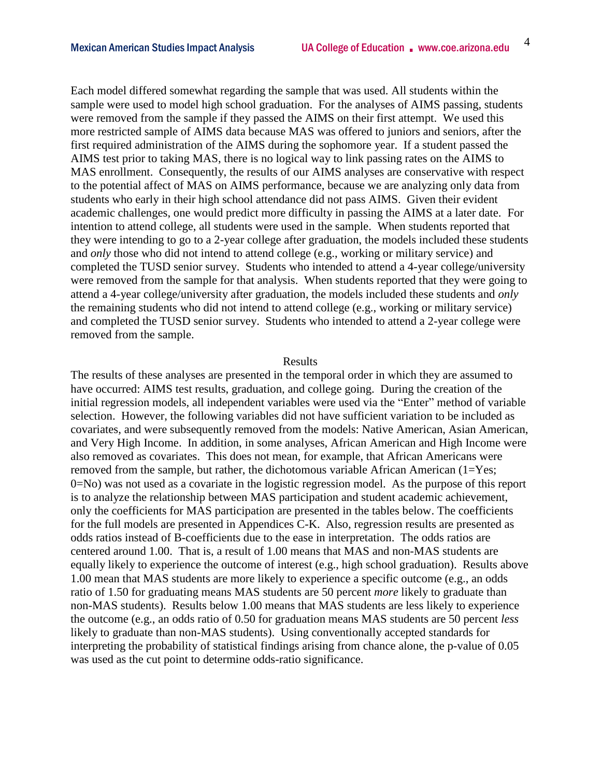Each model differed somewhat regarding the sample that was used. All students within the sample were used to model high school graduation. For the analyses of AIMS passing, students were removed from the sample if they passed the AIMS on their first attempt. We used this more restricted sample of AIMS data because MAS was offered to juniors and seniors, after the first required administration of the AIMS during the sophomore year. If a student passed the AIMS test prior to taking MAS, there is no logical way to link passing rates on the AIMS to MAS enrollment. Consequently, the results of our AIMS analyses are conservative with respect to the potential affect of MAS on AIMS performance, because we are analyzing only data from students who early in their high school attendance did not pass AIMS. Given their evident academic challenges, one would predict more difficulty in passing the AIMS at a later date. For intention to attend college, all students were used in the sample. When students reported that they were intending to go to a 2-year college after graduation, the models included these students and *only* those who did not intend to attend college (e.g., working or military service) and completed the TUSD senior survey. Students who intended to attend a 4-year college/university were removed from the sample for that analysis. When students reported that they were going to attend a 4-year college/university after graduation, the models included these students and *only* the remaining students who did not intend to attend college (e.g., working or military service) and completed the TUSD senior survey. Students who intended to attend a 2-year college were removed from the sample.

#### Results

The results of these analyses are presented in the temporal order in which they are assumed to have occurred: AIMS test results, graduation, and college going. During the creation of the initial regression models, all independent variables were used via the "Enter" method of variable selection. However, the following variables did not have sufficient variation to be included as covariates, and were subsequently removed from the models: Native American, Asian American, and Very High Income. In addition, in some analyses, African American and High Income were also removed as covariates. This does not mean, for example, that African Americans were removed from the sample, but rather, the dichotomous variable African American  $(1=Yes;$ 0=No) was not used as a covariate in the logistic regression model. As the purpose of this report is to analyze the relationship between MAS participation and student academic achievement, only the coefficients for MAS participation are presented in the tables below. The coefficients for the full models are presented in Appendices C-K. Also, regression results are presented as odds ratios instead of B-coefficients due to the ease in interpretation. The odds ratios are centered around 1.00. That is, a result of 1.00 means that MAS and non-MAS students are equally likely to experience the outcome of interest (e.g., high school graduation). Results above 1.00 mean that MAS students are more likely to experience a specific outcome (e.g., an odds ratio of 1.50 for graduating means MAS students are 50 percent *more* likely to graduate than non-MAS students). Results below 1.00 means that MAS students are less likely to experience the outcome (e.g., an odds ratio of 0.50 for graduation means MAS students are 50 percent *less* likely to graduate than non-MAS students). Using conventionally accepted standards for interpreting the probability of statistical findings arising from chance alone, the p-value of 0.05 was used as the cut point to determine odds-ratio significance.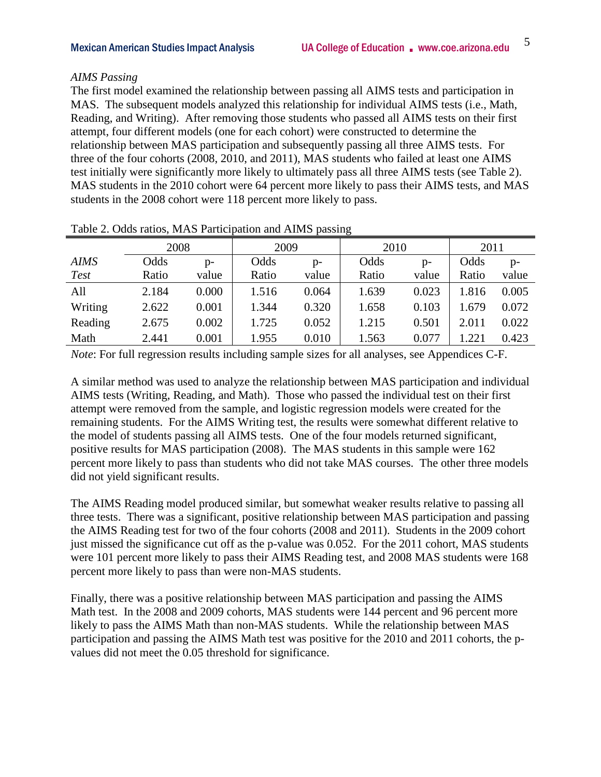#### *AIMS Passing*

The first model examined the relationship between passing all AIMS tests and participation in MAS. The subsequent models analyzed this relationship for individual AIMS tests (i.e., Math, Reading, and Writing). After removing those students who passed all AIMS tests on their first attempt, four different models (one for each cohort) were constructed to determine the relationship between MAS participation and subsequently passing all three AIMS tests. For three of the four cohorts (2008, 2010, and 2011), MAS students who failed at least one AIMS test initially were significantly more likely to ultimately pass all three AIMS tests (see Table 2). MAS students in the 2010 cohort were 64 percent more likely to pass their AIMS tests, and MAS students in the 2008 cohort were 118 percent more likely to pass.

|             | 2008  |       | 2009  |       | 2010  |       | 2011  |       |  |
|-------------|-------|-------|-------|-------|-------|-------|-------|-------|--|
| <b>AIMS</b> | Odds  | p-    | Odds  | $p-$  | Odds  | p-    | Odds  | $p-$  |  |
| <b>Test</b> | Ratio | value | Ratio | value | Ratio | value | Ratio | value |  |
| All         | 2.184 | 0.000 | 1.516 | 0.064 | 1.639 | 0.023 | 1.816 | 0.005 |  |
| Writing     | 2.622 | 0.001 | 1.344 | 0.320 | 1.658 | 0.103 | 1.679 | 0.072 |  |
| Reading     | 2.675 | 0.002 | 1.725 | 0.052 | 1.215 | 0.501 | 2.011 | 0.022 |  |
| Math        | 2.441 | 0.001 | 1.955 | 0.010 | 1.563 | 0.077 | 1.221 | 0.423 |  |

Table 2. Odds ratios, MAS Participation and AIMS passing

*Note*: For full regression results including sample sizes for all analyses, see Appendices C-F.

A similar method was used to analyze the relationship between MAS participation and individual AIMS tests (Writing, Reading, and Math). Those who passed the individual test on their first attempt were removed from the sample, and logistic regression models were created for the remaining students. For the AIMS Writing test, the results were somewhat different relative to the model of students passing all AIMS tests. One of the four models returned significant, positive results for MAS participation (2008). The MAS students in this sample were 162 percent more likely to pass than students who did not take MAS courses. The other three models did not yield significant results.

The AIMS Reading model produced similar, but somewhat weaker results relative to passing all three tests. There was a significant, positive relationship between MAS participation and passing the AIMS Reading test for two of the four cohorts (2008 and 2011). Students in the 2009 cohort just missed the significance cut off as the p-value was 0.052. For the 2011 cohort, MAS students were 101 percent more likely to pass their AIMS Reading test, and 2008 MAS students were 168 percent more likely to pass than were non-MAS students.

Finally, there was a positive relationship between MAS participation and passing the AIMS Math test. In the 2008 and 2009 cohorts, MAS students were 144 percent and 96 percent more likely to pass the AIMS Math than non-MAS students. While the relationship between MAS participation and passing the AIMS Math test was positive for the 2010 and 2011 cohorts, the pvalues did not meet the 0.05 threshold for significance.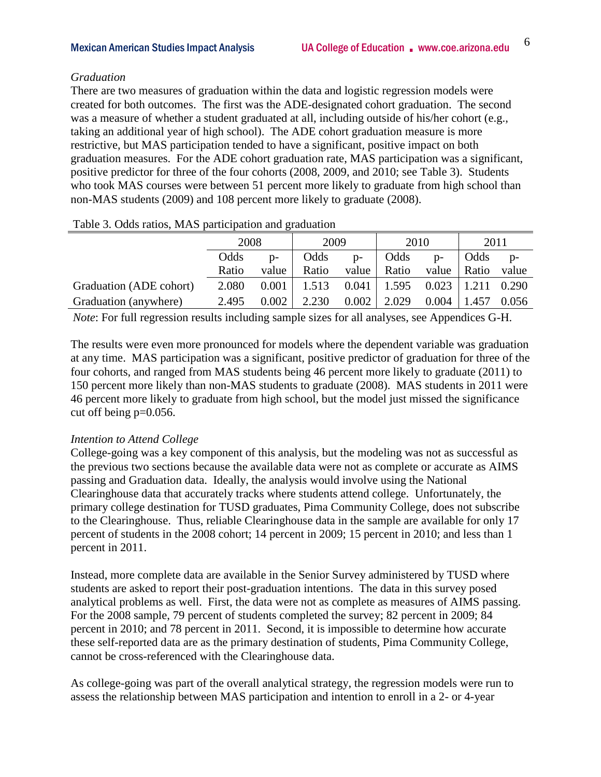#### *Graduation*

There are two measures of graduation within the data and logistic regression models were created for both outcomes. The first was the ADE-designated cohort graduation. The second was a measure of whether a student graduated at all, including outside of his/her cohort (e.g., taking an additional year of high school). The ADE cohort graduation measure is more restrictive, but MAS participation tended to have a significant, positive impact on both graduation measures. For the ADE cohort graduation rate, MAS participation was a significant, positive predictor for three of the four cohorts (2008, 2009, and 2010; see Table 3). Students who took MAS courses were between 51 percent more likely to graduate from high school than non-MAS students (2009) and 108 percent more likely to graduate (2008).

|                         | 2008<br>Odds<br>$D -$<br>Ratio<br>value |       | 2009  |       | 2010  |       | 2011  |       |
|-------------------------|-----------------------------------------|-------|-------|-------|-------|-------|-------|-------|
|                         |                                         |       | Odds  | $D -$ | Odds  | $p-$  | Odds  | $D -$ |
|                         |                                         |       | Ratio | value | Ratio | value | Ratio | value |
| Graduation (ADE cohort) | 2.080                                   | 0.001 | 1.513 | 0.041 | 1.595 | 0.023 | 1.211 | 0.290 |
| Graduation (anywhere)   | 2.495                                   | 0.002 | 2.230 | 0.002 | 2.029 | 0.004 | 1.457 | 0.056 |

Table 3. Odds ratios, MAS participation and graduation

*Note*: For full regression results including sample sizes for all analyses, see Appendices G-H.

The results were even more pronounced for models where the dependent variable was graduation at any time. MAS participation was a significant, positive predictor of graduation for three of the four cohorts, and ranged from MAS students being 46 percent more likely to graduate (2011) to 150 percent more likely than non-MAS students to graduate (2008). MAS students in 2011 were 46 percent more likely to graduate from high school, but the model just missed the significance cut off being p=0.056.

#### *Intention to Attend College*

College-going was a key component of this analysis, but the modeling was not as successful as the previous two sections because the available data were not as complete or accurate as AIMS passing and Graduation data. Ideally, the analysis would involve using the National Clearinghouse data that accurately tracks where students attend college. Unfortunately, the primary college destination for TUSD graduates, Pima Community College, does not subscribe to the Clearinghouse. Thus, reliable Clearinghouse data in the sample are available for only 17 percent of students in the 2008 cohort; 14 percent in 2009; 15 percent in 2010; and less than 1 percent in 2011.

Instead, more complete data are available in the Senior Survey administered by TUSD where students are asked to report their post-graduation intentions. The data in this survey posed analytical problems as well. First, the data were not as complete as measures of AIMS passing. For the 2008 sample, 79 percent of students completed the survey; 82 percent in 2009; 84 percent in 2010; and 78 percent in 2011. Second, it is impossible to determine how accurate these self-reported data are as the primary destination of students, Pima Community College, cannot be cross-referenced with the Clearinghouse data.

As college-going was part of the overall analytical strategy, the regression models were run to assess the relationship between MAS participation and intention to enroll in a 2- or 4-year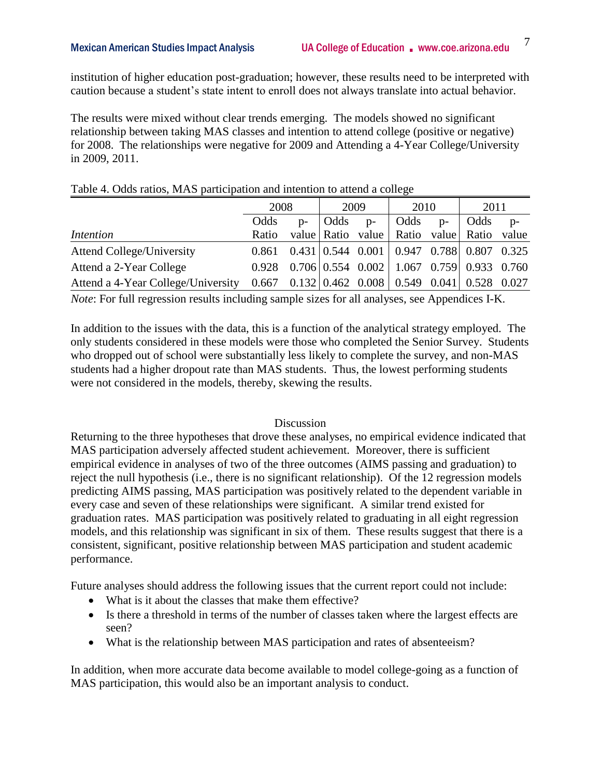institution of higher education post-graduation; however, these results need to be interpreted with caution because a student's state intent to enroll does not always translate into actual behavior.

The results were mixed without clear trends emerging. The models showed no significant relationship between taking MAS classes and intention to attend college (positive or negative) for 2008. The relationships were negative for 2009 and Attending a 4-Year College/University in 2009, 2011.

|                                                                                    | 2008  |       | 2009 |      | 2010                                                                      |      | 2011  |       |
|------------------------------------------------------------------------------------|-------|-------|------|------|---------------------------------------------------------------------------|------|-------|-------|
|                                                                                    | Odds  | $D -$ | Odds | $p-$ | Odds                                                                      | $p-$ | Odds  | $p-$  |
| Intention                                                                          | Ratio |       |      |      | value Ratio value Ratio value                                             |      | Ratio | value |
| <b>Attend College/University</b>                                                   | 0.861 |       |      |      | $0.431 \mid 0.544 \mid 0.001 \mid 0.947 \mid 0.788 \mid 0.807 \mid 0.325$ |      |       |       |
| Attend a 2-Year College                                                            | 0.928 |       |      |      | $0.706 \mid 0.554$ $0.002 \mid 1.067$ $0.759 \mid 0.933$ $0.760$          |      |       |       |
| Attend a 4-Year College/University 0.667 0.132 0.462 0.008 0.549 0.041 0.528 0.027 |       |       |      |      |                                                                           |      |       |       |

#### Table 4. Odds ratios, MAS participation and intention to attend a college

*Note*: For full regression results including sample sizes for all analyses, see Appendices I-K.

In addition to the issues with the data, this is a function of the analytical strategy employed. The only students considered in these models were those who completed the Senior Survey. Students who dropped out of school were substantially less likely to complete the survey, and non-MAS students had a higher dropout rate than MAS students. Thus, the lowest performing students were not considered in the models, thereby, skewing the results.

#### **Discussion**

Returning to the three hypotheses that drove these analyses, no empirical evidence indicated that MAS participation adversely affected student achievement. Moreover, there is sufficient empirical evidence in analyses of two of the three outcomes (AIMS passing and graduation) to reject the null hypothesis (i.e., there is no significant relationship). Of the 12 regression models predicting AIMS passing, MAS participation was positively related to the dependent variable in every case and seven of these relationships were significant. A similar trend existed for graduation rates. MAS participation was positively related to graduating in all eight regression models, and this relationship was significant in six of them. These results suggest that there is a consistent, significant, positive relationship between MAS participation and student academic performance.

Future analyses should address the following issues that the current report could not include:

- What is it about the classes that make them effective?
- Is there a threshold in terms of the number of classes taken where the largest effects are seen?
- What is the relationship between MAS participation and rates of absenteeism?

In addition, when more accurate data become available to model college-going as a function of MAS participation, this would also be an important analysis to conduct.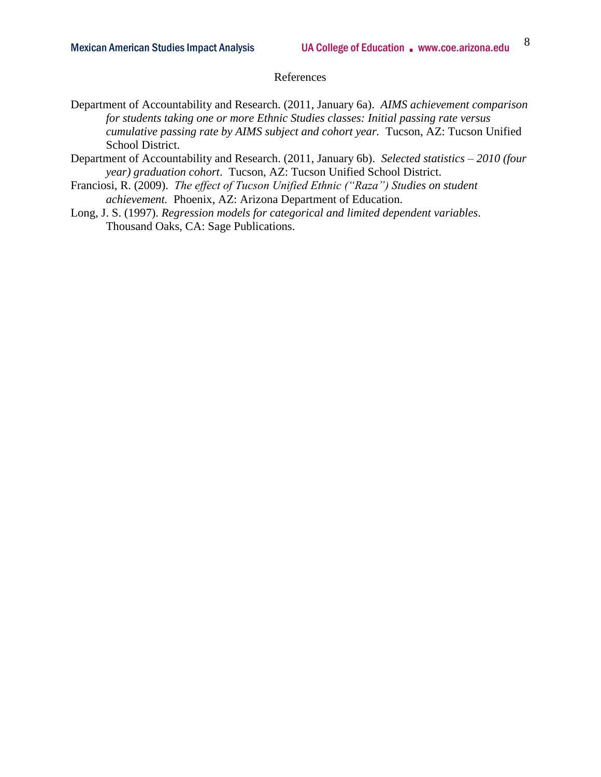#### References

- Department of Accountability and Research. (2011, January 6a). *AIMS achievement comparison for students taking one or more Ethnic Studies classes: Initial passing rate versus cumulative passing rate by AIMS subject and cohort year.* Tucson, AZ: Tucson Unified School District.
- Department of Accountability and Research. (2011, January 6b). *Selected statistics – 2010 (four year) graduation cohort*. Tucson, AZ: Tucson Unified School District.
- Franciosi, R. (2009). *The effect of Tucson Unified Ethnic ("Raza") Studies on student achievement.* Phoenix, AZ: Arizona Department of Education.
- Long, J. S. (1997). *Regression models for categorical and limited dependent variables*. Thousand Oaks, CA: Sage Publications.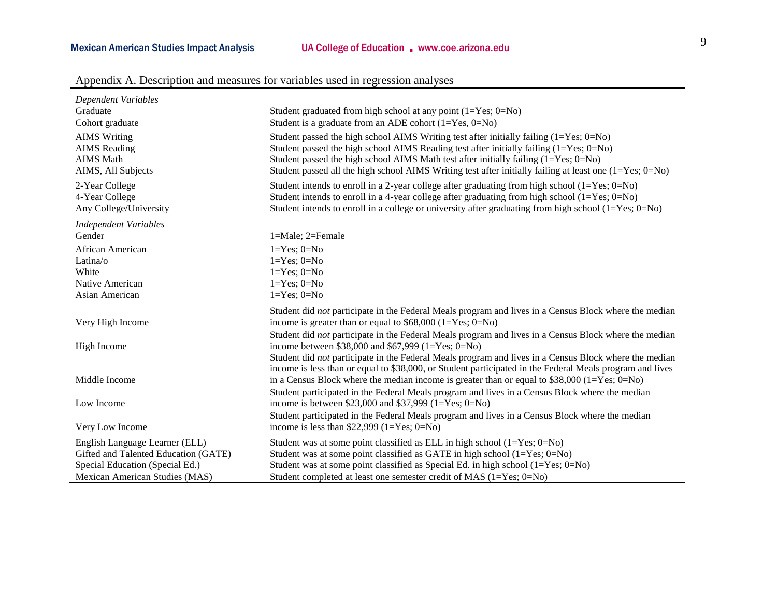| Dependent Variables<br>Graduate<br>Cohort graduate                                                                                          | Student graduated from high school at any point $(1=Yes; 0=No)$<br>Student is a graduate from an ADE cohort $(1=Yes, 0=No)$                                                                                                                                                                                                                                                                  |
|---------------------------------------------------------------------------------------------------------------------------------------------|----------------------------------------------------------------------------------------------------------------------------------------------------------------------------------------------------------------------------------------------------------------------------------------------------------------------------------------------------------------------------------------------|
| <b>AIMS</b> Writing<br><b>AIMS</b> Reading<br><b>AIMS</b> Math<br>AIMS, All Subjects                                                        | Student passed the high school AIMS Writing test after initially failing $(1 = Yes; 0 = No)$<br>Student passed the high school AIMS Reading test after initially failing (1=Yes; 0=No)<br>Student passed the high school AIMS Math test after initially failing $(1=Yes; 0=No)$<br>Student passed all the high school AIMS Writing test after initially failing at least one $(1=Yes; 0=No)$ |
| 2-Year College<br>4-Year College<br>Any College/University                                                                                  | Student intends to enroll in a 2-year college after graduating from high school $(1 = Yes; 0 = No)$<br>Student intends to enroll in a 4-year college after graduating from high school $(1=Yes; 0=No)$<br>Student intends to enroll in a college or university after graduating from high school $(1=Yes; 0=No)$                                                                             |
| <b>Independent Variables</b>                                                                                                                |                                                                                                                                                                                                                                                                                                                                                                                              |
| Gender                                                                                                                                      | $1 = Male$ ; $2 = Female$                                                                                                                                                                                                                                                                                                                                                                    |
| African American                                                                                                                            | $1 = Yes$ ; $0 = No$                                                                                                                                                                                                                                                                                                                                                                         |
| Latina/o                                                                                                                                    | $1 = Yes$ ; $0 = No$                                                                                                                                                                                                                                                                                                                                                                         |
| White                                                                                                                                       | $1 = Yes$ ; $0 = No$                                                                                                                                                                                                                                                                                                                                                                         |
| Native American                                                                                                                             | $1 = Yes$ ; $0 = No$                                                                                                                                                                                                                                                                                                                                                                         |
| Asian American                                                                                                                              | $1 = Yes$ ; $0 = No$                                                                                                                                                                                                                                                                                                                                                                         |
| Very High Income                                                                                                                            | Student did not participate in the Federal Meals program and lives in a Census Block where the median<br>income is greater than or equal to $$68,000$ (1=Yes; 0=No)                                                                                                                                                                                                                          |
| High Income                                                                                                                                 | Student did not participate in the Federal Meals program and lives in a Census Block where the median<br>income between \$38,000 and \$67,999 (1=Yes; 0=No)                                                                                                                                                                                                                                  |
|                                                                                                                                             | Student did not participate in the Federal Meals program and lives in a Census Block where the median<br>income is less than or equal to \$38,000, or Student participated in the Federal Meals program and lives                                                                                                                                                                            |
| Middle Income                                                                                                                               | in a Census Block where the median income is greater than or equal to $$38,000$ (1=Yes; 0=No)<br>Student participated in the Federal Meals program and lives in a Census Block where the median                                                                                                                                                                                              |
| Low Income                                                                                                                                  | income is between \$23,000 and \$37,999 (1=Yes; 0=No)                                                                                                                                                                                                                                                                                                                                        |
|                                                                                                                                             | Student participated in the Federal Meals program and lives in a Census Block where the median                                                                                                                                                                                                                                                                                               |
| Very Low Income                                                                                                                             | income is less than \$22,999 $(1=Yes; 0=No)$                                                                                                                                                                                                                                                                                                                                                 |
| English Language Learner (ELL)<br>Gifted and Talented Education (GATE)<br>Special Education (Special Ed.)<br>Mexican American Studies (MAS) | Student was at some point classified as ELL in high school $(1=Yes; 0=No)$<br>Student was at some point classified as GATE in high school $(1 = Yes; 0 = No)$<br>Student was at some point classified as Special Ed. in high school $(1=Yes; 0=No)$<br>Student completed at least one semester credit of MAS $(1=Yes; 0=No)$                                                                 |

### Appendix A. Description and measures for variables used in regression analyses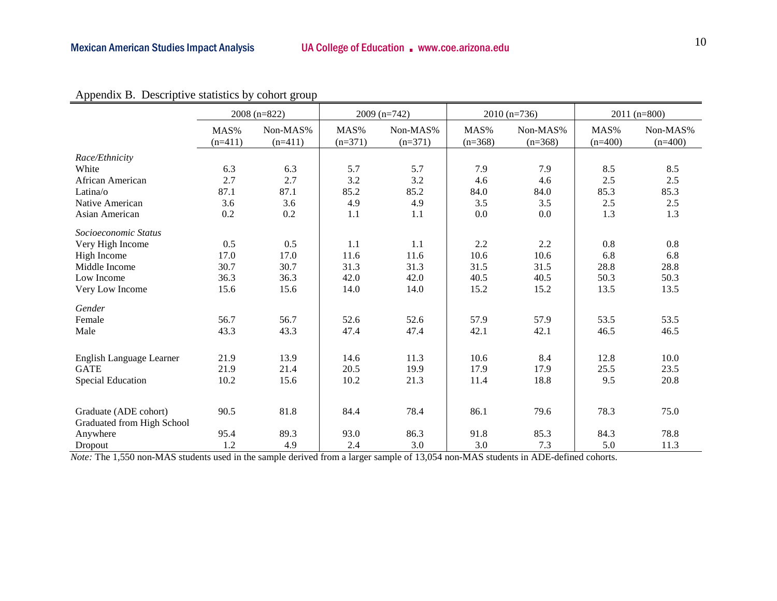## Mexican American Studies Impact Analysis **UA College of Education .** www.coe.arizona.edu **10**

|                            |                   | $2008(n=822)$         |                   | $2009$ (n=742)        |                   | $2010(n=736)$         | $2011(n=800)$     |                       |  |
|----------------------------|-------------------|-----------------------|-------------------|-----------------------|-------------------|-----------------------|-------------------|-----------------------|--|
|                            | MAS%<br>$(n=411)$ | Non-MAS%<br>$(n=411)$ | MAS%<br>$(n=371)$ | Non-MAS%<br>$(n=371)$ | MAS%<br>$(n=368)$ | Non-MAS%<br>$(n=368)$ | MAS%<br>$(n=400)$ | Non-MAS%<br>$(n=400)$ |  |
| Race/Ethnicity             |                   |                       |                   |                       |                   |                       |                   |                       |  |
| White                      | 6.3               | 6.3                   | 5.7               | 5.7                   | 7.9               | 7.9                   | 8.5               | 8.5                   |  |
| African American           | 2.7               | 2.7                   | 3.2               | 3.2                   | 4.6               | 4.6                   | 2.5               | 2.5                   |  |
| Latina/ $\circ$            | 87.1              | 87.1                  | 85.2              | 85.2                  | 84.0              | 84.0                  | 85.3              | 85.3                  |  |
| Native American            | 3.6               | 3.6                   | 4.9               | 4.9                   | 3.5               | 3.5                   | 2.5               | 2.5                   |  |
| Asian American             | 0.2               | 0.2                   | 1.1               | 1.1                   | 0.0               | 0.0                   | 1.3               | 1.3                   |  |
| Socioeconomic Status       |                   |                       |                   |                       |                   |                       |                   |                       |  |
| Very High Income           | 0.5               | 0.5                   | 1.1               | 1.1                   | 2.2               | 2.2                   | 0.8               | 0.8                   |  |
| High Income                | 17.0              | 17.0                  | 11.6              | 11.6                  | 10.6              | 10.6                  | 6.8               | 6.8                   |  |
| Middle Income              | 30.7              | 30.7                  | 31.3              | 31.3                  | 31.5              | 31.5                  | 28.8              | 28.8                  |  |
| Low Income                 | 36.3              | 36.3                  | 42.0              | 42.0                  | 40.5              | 40.5                  | 50.3              | 50.3                  |  |
| Very Low Income            | 15.6              | 15.6                  | 14.0              | 14.0                  | 15.2              | 15.2                  | 13.5              | 13.5                  |  |
| Gender                     |                   |                       |                   |                       |                   |                       |                   |                       |  |
| Female                     | 56.7              | 56.7                  | 52.6              | 52.6                  | 57.9              | 57.9                  | 53.5              | 53.5                  |  |
| Male                       | 43.3              | 43.3                  | 47.4              | 47.4                  | 42.1              | 42.1                  | 46.5              | 46.5                  |  |
|                            |                   |                       |                   |                       |                   |                       |                   |                       |  |
| English Language Learner   | 21.9              | 13.9                  | 14.6              | 11.3                  | 10.6              | 8.4                   | 12.8              | 10.0                  |  |
| <b>GATE</b>                | 21.9              | 21.4                  | 20.5              | 19.9                  | 17.9              | 17.9                  | 25.5              | 23.5                  |  |
| <b>Special Education</b>   | 10.2              | 15.6                  | 10.2              | 21.3                  | 11.4              | 18.8                  | 9.5               | 20.8                  |  |
|                            |                   |                       |                   |                       |                   |                       |                   |                       |  |
| Graduate (ADE cohort)      | 90.5              | 81.8                  | 84.4              | 78.4                  | 86.1              | 79.6                  | 78.3              | 75.0                  |  |
| Graduated from High School |                   |                       |                   |                       |                   |                       |                   |                       |  |
| Anywhere                   | 95.4              | 89.3                  | 93.0              | 86.3                  | 91.8              | 85.3                  | 84.3              | 78.8                  |  |
| Dropout                    | 1.2               | 4.9                   | 2.4               | 3.0                   | 3.0               | 7.3                   | 5.0               | 11.3                  |  |

Appendix B. Descriptive statistics by cohort group

*Note:* The 1,550 non-MAS students used in the sample derived from a larger sample of 13,054 non-MAS students in ADE-defined cohorts.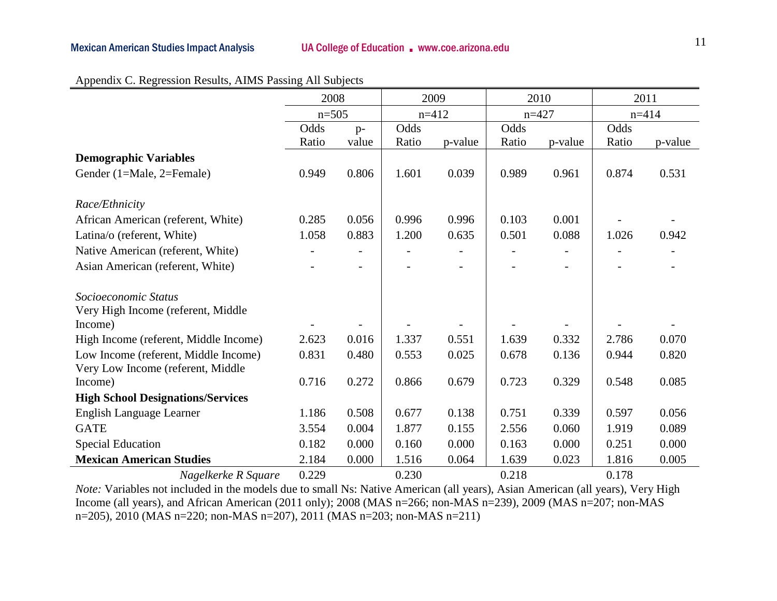|                                          | 2008    |                          | 2009  |                          | 2010  |         | 2011  |           |
|------------------------------------------|---------|--------------------------|-------|--------------------------|-------|---------|-------|-----------|
|                                          | $n=505$ |                          |       | $n=412$                  |       | $n=427$ |       | $n = 414$ |
|                                          | Odds    | $p-$                     | Odds  |                          |       |         | Odds  |           |
|                                          | Ratio   | value                    | Ratio | p-value                  | Ratio | p-value | Ratio | p-value   |
| <b>Demographic Variables</b>             |         |                          |       |                          |       |         |       |           |
| Gender (1=Male, 2=Female)                | 0.949   | 0.806                    | 1.601 | 0.039                    | 0.989 | 0.961   | 0.874 | 0.531     |
|                                          |         |                          |       |                          |       |         |       |           |
| Race/Ethnicity                           |         |                          |       |                          |       |         |       |           |
| African American (referent, White)       | 0.285   | 0.056                    | 0.996 | 0.996                    | 0.103 | 0.001   |       |           |
| Latina/o (referent, White)               | 1.058   | 0.883                    | 1.200 | 0.635                    | 0.501 | 0.088   | 1.026 | 0.942     |
| Native American (referent, White)        |         |                          |       |                          |       |         |       |           |
| Asian American (referent, White)         |         | $\overline{\phantom{0}}$ |       | $\overline{\phantom{0}}$ |       |         |       |           |
|                                          |         |                          |       |                          |       |         |       |           |
| Socioeconomic Status                     |         |                          |       |                          |       |         |       |           |
| Very High Income (referent, Middle       |         |                          |       |                          |       |         |       |           |
| Income)                                  |         |                          |       |                          |       |         |       |           |
| High Income (referent, Middle Income)    | 2.623   | 0.016                    | 1.337 | 0.551                    | 1.639 | 0.332   | 2.786 | 0.070     |
| Low Income (referent, Middle Income)     | 0.831   | 0.480                    | 0.553 | 0.025                    | 0.678 | 0.136   | 0.944 | 0.820     |
| Very Low Income (referent, Middle        |         |                          |       |                          |       |         |       |           |
| Income)                                  | 0.716   | 0.272                    | 0.866 | 0.679                    | 0.723 | 0.329   | 0.548 | 0.085     |
| <b>High School Designations/Services</b> |         |                          |       |                          |       |         |       |           |
| English Language Learner                 | 1.186   | 0.508                    | 0.677 | 0.138                    | 0.751 | 0.339   | 0.597 | 0.056     |
| <b>GATE</b>                              | 3.554   | 0.004                    | 1.877 | 0.155                    | 2.556 | 0.060   | 1.919 | 0.089     |
| <b>Special Education</b>                 | 0.182   | 0.000                    | 0.160 | 0.000                    | 0.163 | 0.000   | 0.251 | 0.000     |
| <b>Mexican American Studies</b>          | 2.184   | 0.000                    | 1.516 | 0.064                    | 1.639 | 0.023   | 1.816 | 0.005     |
| Nagelkerke R Square                      | 0.229   |                          | 0.230 |                          | 0.218 |         | 0.178 |           |

|  |  | Appendix C. Regression Results, AIMS Passing All Subjects |  |  |
|--|--|-----------------------------------------------------------|--|--|
|  |  |                                                           |  |  |

*Note:* Variables not included in the models due to small Ns: Native American (all years), Asian American (all years), Very High Income (all years), and African American (2011 only); 2008 (MAS n=266; non-MAS n=239), 2009 (MAS n=207; non-MAS n=205), 2010 (MAS n=220; non-MAS n=207), 2011 (MAS n=203; non-MAS n=211)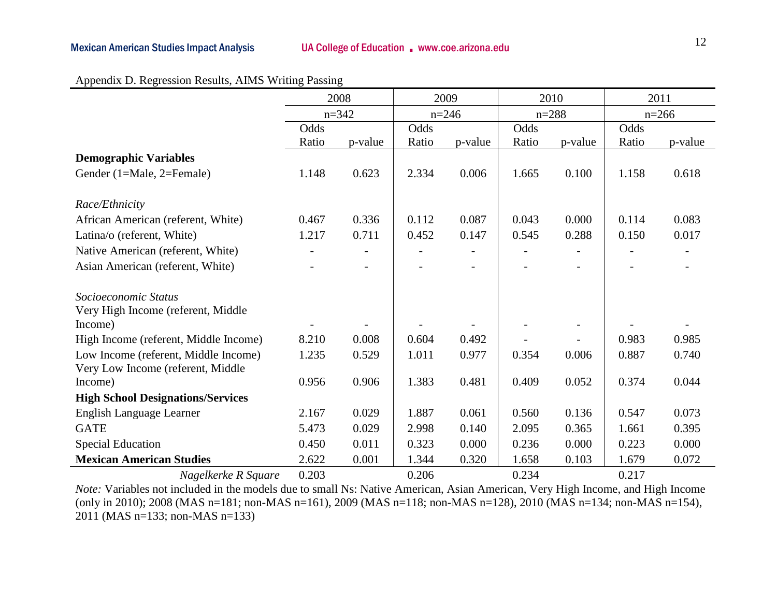|                                          | 2008  |           |       | 2009      |       | 2010      |       | 2011    |
|------------------------------------------|-------|-----------|-------|-----------|-------|-----------|-------|---------|
|                                          |       | $n = 342$ |       | $n = 246$ |       | $n = 288$ |       | $n=266$ |
|                                          | Odds  |           | Odds  |           |       |           | Odds  |         |
|                                          | Ratio | p-value   | Ratio | p-value   | Ratio | p-value   | Ratio | p-value |
| <b>Demographic Variables</b>             |       |           |       |           |       |           |       |         |
| Gender (1=Male, 2=Female)                | 1.148 | 0.623     | 2.334 | 0.006     | 1.665 | 0.100     | 1.158 | 0.618   |
|                                          |       |           |       |           |       |           |       |         |
| Race/Ethnicity                           |       |           |       |           |       |           |       |         |
| African American (referent, White)       | 0.467 | 0.336     | 0.112 | 0.087     | 0.043 | 0.000     | 0.114 | 0.083   |
| Latina/o (referent, White)               | 1.217 | 0.711     | 0.452 | 0.147     | 0.545 | 0.288     | 0.150 | 0.017   |
| Native American (referent, White)        |       |           |       |           |       |           |       |         |
| Asian American (referent, White)         |       |           |       |           |       |           |       |         |
| Socioeconomic Status                     |       |           |       |           |       |           |       |         |
| Very High Income (referent, Middle       |       |           |       |           |       |           |       |         |
| Income)                                  |       |           |       |           |       |           |       |         |
| High Income (referent, Middle Income)    | 8.210 | 0.008     | 0.604 | 0.492     |       |           | 0.983 | 0.985   |
| Low Income (referent, Middle Income)     | 1.235 | 0.529     | 1.011 | 0.977     | 0.354 | 0.006     | 0.887 | 0.740   |
| Very Low Income (referent, Middle        |       |           |       |           |       |           |       |         |
| Income)                                  | 0.956 | 0.906     | 1.383 | 0.481     | 0.409 | 0.052     | 0.374 | 0.044   |
| <b>High School Designations/Services</b> |       |           |       |           |       |           |       |         |
| English Language Learner                 | 2.167 | 0.029     | 1.887 | 0.061     | 0.560 | 0.136     | 0.547 | 0.073   |
| <b>GATE</b>                              | 5.473 | 0.029     | 2.998 | 0.140     | 2.095 | 0.365     | 1.661 | 0.395   |
| <b>Special Education</b>                 | 0.450 | 0.011     | 0.323 | 0.000     | 0.236 | 0.000     | 0.223 | 0.000   |
| <b>Mexican American Studies</b>          | 2.622 | 0.001     | 1.344 | 0.320     | 1.658 | 0.103     | 1.679 | 0.072   |
| Nagelkerke R Square                      | 0.203 |           | 0.206 |           | 0.234 |           | 0.217 |         |

|  | Appendix D. Regression Results, AIMS Writing Passing |
|--|------------------------------------------------------|
|  |                                                      |

*Note:* Variables not included in the models due to small Ns: Native American, Asian American, Very High Income, and High Income (only in 2010); 2008 (MAS n=181; non-MAS n=161), 2009 (MAS n=118; non-MAS n=128), 2010 (MAS n=134; non-MAS n=154), 2011 (MAS n=133; non-MAS n=133)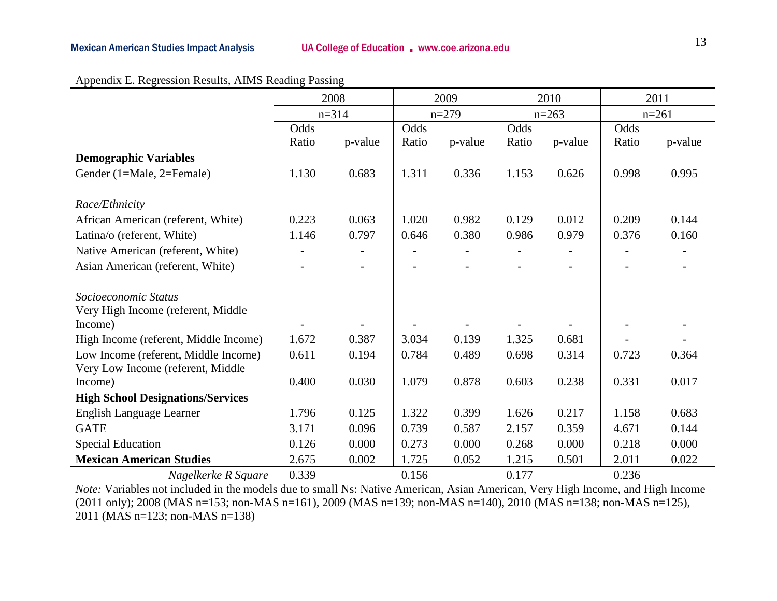|                                               | 2008  |           | 2009  |         |       | 2010    |       | 2011    |
|-----------------------------------------------|-------|-----------|-------|---------|-------|---------|-------|---------|
|                                               |       | $n = 314$ |       | $n=279$ |       | $n=263$ |       | $n=261$ |
|                                               | Odds  |           | Odds  |         | Odds  |         | Odds  |         |
|                                               | Ratio | p-value   | Ratio | p-value | Ratio | p-value | Ratio | p-value |
| <b>Demographic Variables</b>                  |       |           |       |         |       |         |       |         |
| Gender (1=Male, 2=Female)                     | 1.130 | 0.683     | 1.311 | 0.336   | 1.153 | 0.626   | 0.998 | 0.995   |
| Race/Ethnicity                                |       |           |       |         |       |         |       |         |
| African American (referent, White)            | 0.223 | 0.063     | 1.020 | 0.982   | 0.129 | 0.012   | 0.209 | 0.144   |
| Latina/o (referent, White)                    | 1.146 | 0.797     | 0.646 | 0.380   | 0.986 | 0.979   | 0.376 | 0.160   |
| Native American (referent, White)             |       |           |       |         |       |         |       |         |
| Asian American (referent, White)              |       |           |       |         |       |         |       |         |
| Socioeconomic Status                          |       |           |       |         |       |         |       |         |
| Very High Income (referent, Middle<br>Income) |       |           |       |         |       |         |       |         |
| High Income (referent, Middle Income)         | 1.672 | 0.387     | 3.034 | 0.139   | 1.325 | 0.681   |       |         |
| Low Income (referent, Middle Income)          | 0.611 | 0.194     | 0.784 | 0.489   | 0.698 | 0.314   | 0.723 | 0.364   |
| Very Low Income (referent, Middle             |       |           |       |         |       |         |       |         |
| Income)                                       | 0.400 | 0.030     | 1.079 | 0.878   | 0.603 | 0.238   | 0.331 | 0.017   |
| <b>High School Designations/Services</b>      |       |           |       |         |       |         |       |         |
| English Language Learner                      | 1.796 | 0.125     | 1.322 | 0.399   | 1.626 | 0.217   | 1.158 | 0.683   |
| <b>GATE</b>                                   | 3.171 | 0.096     | 0.739 | 0.587   | 2.157 | 0.359   | 4.671 | 0.144   |
| <b>Special Education</b>                      | 0.126 | 0.000     | 0.273 | 0.000   | 0.268 | 0.000   | 0.218 | 0.000   |
| <b>Mexican American Studies</b>               | 2.675 | 0.002     | 1.725 | 0.052   | 1.215 | 0.501   | 2.011 | 0.022   |
| Nagelkerke R Square                           | 0.339 |           | 0.156 |         | 0.177 |         | 0.236 |         |

#### Appendix E. Regression Results, AIMS Reading Passing

*Note:* Variables not included in the models due to small Ns: Native American, Asian American, Very High Income, and High Income (2011 only); 2008 (MAS n=153; non-MAS n=161), 2009 (MAS n=139; non-MAS n=140), 2010 (MAS n=138; non-MAS n=125), 2011 (MAS n=123; non-MAS n=138)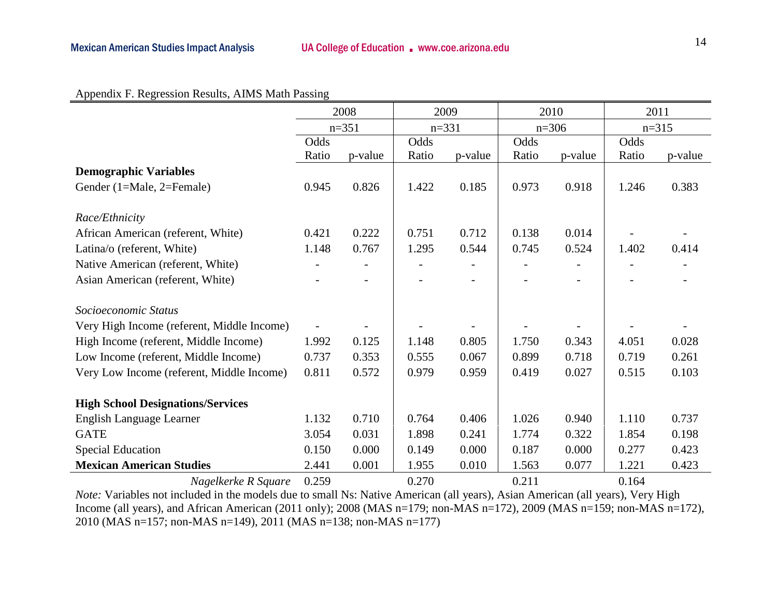#### Appendix F. Regression Results, AIMS Math Passing

|                                            | 2008  |                          | 2009    |         | 2010    |                          | 2011    |         |
|--------------------------------------------|-------|--------------------------|---------|---------|---------|--------------------------|---------|---------|
|                                            |       | $n=351$                  | $n=331$ |         | $n=306$ |                          | $n=315$ |         |
|                                            | Odds  |                          | Odds    |         | Odds    |                          | Odds    |         |
|                                            | Ratio | p-value                  | Ratio   | p-value | Ratio   | p-value                  | Ratio   | p-value |
| <b>Demographic Variables</b>               |       |                          |         |         |         |                          |         |         |
| Gender (1=Male, 2=Female)                  | 0.945 | 0.826                    | 1.422   | 0.185   | 0.973   | 0.918                    | 1.246   | 0.383   |
|                                            |       |                          |         |         |         |                          |         |         |
| Race/Ethnicity                             |       |                          |         |         |         |                          |         |         |
| African American (referent, White)         | 0.421 | 0.222                    | 0.751   | 0.712   | 0.138   | 0.014                    |         |         |
| Latina/o (referent, White)                 | 1.148 | 0.767                    | 1.295   | 0.544   | 0.745   | 0.524                    | 1.402   | 0.414   |
| Native American (referent, White)          |       |                          |         |         |         |                          |         |         |
| Asian American (referent, White)           |       | $\overline{\phantom{a}}$ |         |         |         | $\overline{\phantom{0}}$ |         |         |
|                                            |       |                          |         |         |         |                          |         |         |
| Socioeconomic Status                       |       |                          |         |         |         |                          |         |         |
| Very High Income (referent, Middle Income) |       |                          |         |         |         |                          |         |         |
| High Income (referent, Middle Income)      | 1.992 | 0.125                    | 1.148   | 0.805   | 1.750   | 0.343                    | 4.051   | 0.028   |
| Low Income (referent, Middle Income)       | 0.737 | 0.353                    | 0.555   | 0.067   | 0.899   | 0.718                    | 0.719   | 0.261   |
| Very Low Income (referent, Middle Income)  | 0.811 | 0.572                    | 0.979   | 0.959   | 0.419   | 0.027                    | 0.515   | 0.103   |
|                                            |       |                          |         |         |         |                          |         |         |
| <b>High School Designations/Services</b>   |       |                          |         |         |         |                          |         |         |
| English Language Learner                   | 1.132 | 0.710                    | 0.764   | 0.406   | 1.026   | 0.940                    | 1.110   | 0.737   |
| <b>GATE</b>                                | 3.054 | 0.031                    | 1.898   | 0.241   | 1.774   | 0.322                    | 1.854   | 0.198   |
| <b>Special Education</b>                   | 0.150 | 0.000                    | 0.149   | 0.000   | 0.187   | 0.000                    | 0.277   | 0.423   |
| <b>Mexican American Studies</b>            | 2.441 | 0.001                    | 1.955   | 0.010   | 1.563   | 0.077                    | 1.221   | 0.423   |
| Nagelkerke R Square                        | 0.259 |                          | 0.270   |         | 0.211   |                          | 0.164   |         |

*Note:* Variables not included in the models due to small Ns: Native American (all years), Asian American (all years), Very High Income (all years), and African American (2011 only); 2008 (MAS n=179; non-MAS n=172), 2009 (MAS n=159; non-MAS n=172), 2010 (MAS n=157; non-MAS n=149), 2011 (MAS n=138; non-MAS n=177)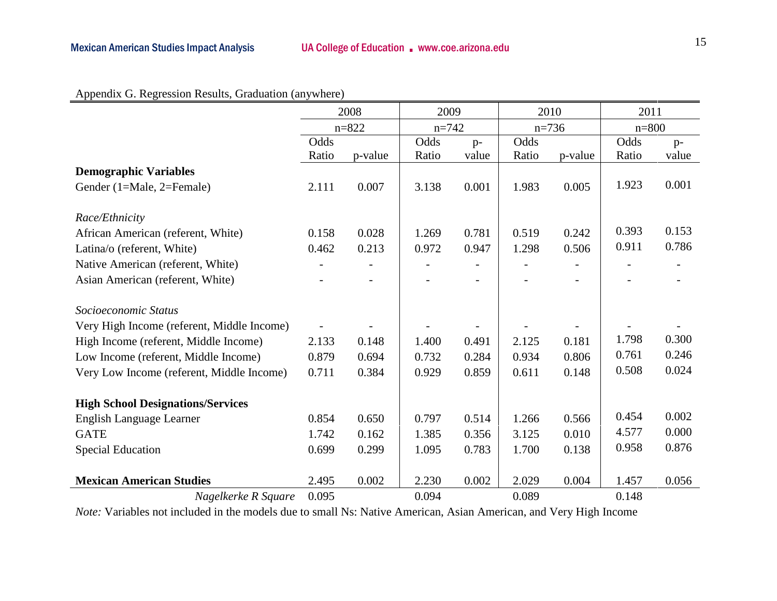| Appendix G. Regression Results, Graduation (anywhere) |               |                         |               |                    |
|-------------------------------------------------------|---------------|-------------------------|---------------|--------------------|
|                                                       | 2008          | 2009                    | 2010          | 2011               |
|                                                       | $n = 822$     | $n=742$                 | $n=736$       | $n=800$            |
|                                                       | $\bigcap_{a}$ | $\bigcap_{a}$<br>$\sim$ | $\bigcap_{a}$ | $\Omega_{\rm 1.1}$ |

|                                            | $n = 822$ |         | $n = 742$ |                          | $n=736$ |         | $n = 800$ |       |
|--------------------------------------------|-----------|---------|-----------|--------------------------|---------|---------|-----------|-------|
|                                            | Odds      |         | Odds      | $p-$                     | Odds    |         | Odds      | $p-$  |
|                                            | Ratio     | p-value | Ratio     | value                    | Ratio   | p-value | Ratio     | value |
| <b>Demographic Variables</b>               |           |         |           |                          |         |         |           |       |
| Gender (1=Male, 2=Female)                  | 2.111     | 0.007   | 3.138     | 0.001                    | 1.983   | 0.005   | 1.923     | 0.001 |
|                                            |           |         |           |                          |         |         |           |       |
| Race/Ethnicity                             |           |         |           |                          |         |         |           |       |
| African American (referent, White)         | 0.158     | 0.028   | 1.269     | 0.781                    | 0.519   | 0.242   | 0.393     | 0.153 |
| Latina/o (referent, White)                 | 0.462     | 0.213   | 0.972     | 0.947                    | 1.298   | 0.506   | 0.911     | 0.786 |
| Native American (referent, White)          |           |         |           |                          |         |         |           |       |
| Asian American (referent, White)           |           |         |           | $\overline{\phantom{0}}$ |         |         |           |       |
| Socioeconomic Status                       |           |         |           |                          |         |         |           |       |
| Very High Income (referent, Middle Income) |           |         |           |                          |         |         |           |       |
| High Income (referent, Middle Income)      | 2.133     | 0.148   | 1.400     | 0.491                    | 2.125   | 0.181   | 1.798     | 0.300 |
| Low Income (referent, Middle Income)       | 0.879     | 0.694   | 0.732     | 0.284                    | 0.934   | 0.806   | 0.761     | 0.246 |
| Very Low Income (referent, Middle Income)  | 0.711     | 0.384   | 0.929     | 0.859                    | 0.611   | 0.148   | 0.508     | 0.024 |
| <b>High School Designations/Services</b>   |           |         |           |                          |         |         |           |       |
| <b>English Language Learner</b>            | 0.854     | 0.650   | 0.797     | 0.514                    | 1.266   | 0.566   | 0.454     | 0.002 |
| <b>GATE</b>                                | 1.742     |         |           |                          | 3.125   | 0.010   | 4.577     | 0.000 |
|                                            |           | 0.162   | 1.385     | 0.356                    |         |         | 0.958     | 0.876 |
| <b>Special Education</b>                   | 0.699     | 0.299   | 1.095     | 0.783                    | 1.700   | 0.138   |           |       |
| <b>Mexican American Studies</b>            | 2.495     | 0.002   | 2.230     | 0.002                    | 2.029   | 0.004   | 1.457     | 0.056 |
| Nagelkerke R Square                        | 0.095     |         | 0.094     |                          | 0.089   |         | 0.148     |       |

*Note:* Variables not included in the models due to small Ns: Native American, Asian American, and Very High Income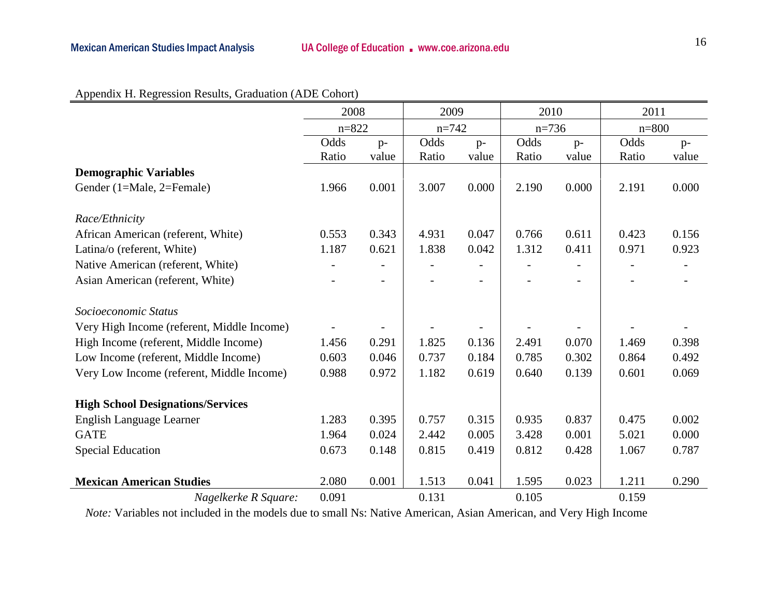|--|

|                                            | 2008      |                          | 2009      |                          | 2010    |       | 2011      |       |
|--------------------------------------------|-----------|--------------------------|-----------|--------------------------|---------|-------|-----------|-------|
|                                            | $n = 822$ |                          | $n = 742$ |                          | $n=736$ |       | $n = 800$ |       |
|                                            | Odds      | $p-$                     | Odds      | $p-$                     | Odds    | $p-$  | Odds      | $p-$  |
|                                            | Ratio     | value                    | Ratio     | value                    | Ratio   | value | Ratio     | value |
| <b>Demographic Variables</b>               |           |                          |           |                          |         |       |           |       |
| Gender (1=Male, 2=Female)                  | 1.966     | 0.001                    | 3.007     | 0.000                    | 2.190   | 0.000 | 2.191     | 0.000 |
| Race/Ethnicity                             |           |                          |           |                          |         |       |           |       |
| African American (referent, White)         | 0.553     | 0.343                    | 4.931     | 0.047                    | 0.766   | 0.611 | 0.423     | 0.156 |
| Latina/o (referent, White)                 | 1.187     | 0.621                    | 1.838     | 0.042                    | 1.312   | 0.411 | 0.971     | 0.923 |
| Native American (referent, White)          |           |                          |           | $\overline{\phantom{0}}$ |         |       |           |       |
| Asian American (referent, White)           |           | $\overline{\phantom{0}}$ |           | $\overline{\phantom{a}}$ |         |       |           |       |
| Socioeconomic Status                       |           |                          |           |                          |         |       |           |       |
| Very High Income (referent, Middle Income) |           |                          |           |                          |         |       |           |       |
| High Income (referent, Middle Income)      | 1.456     | 0.291                    | 1.825     | 0.136                    | 2.491   | 0.070 | 1.469     | 0.398 |
| Low Income (referent, Middle Income)       | 0.603     | 0.046                    | 0.737     | 0.184                    | 0.785   | 0.302 | 0.864     | 0.492 |
| Very Low Income (referent, Middle Income)  | 0.988     | 0.972                    | 1.182     | 0.619                    | 0.640   | 0.139 | 0.601     | 0.069 |
| <b>High School Designations/Services</b>   |           |                          |           |                          |         |       |           |       |
| English Language Learner                   | 1.283     | 0.395                    | 0.757     | 0.315                    | 0.935   | 0.837 | 0.475     | 0.002 |
| <b>GATE</b>                                | 1.964     | 0.024                    | 2.442     | 0.005                    | 3.428   | 0.001 | 5.021     | 0.000 |
| <b>Special Education</b>                   | 0.673     | 0.148                    | 0.815     | 0.419                    | 0.812   | 0.428 | 1.067     | 0.787 |
| <b>Mexican American Studies</b>            | 2.080     | 0.001                    | 1.513     | 0.041                    | 1.595   | 0.023 | 1.211     | 0.290 |
| Nagelkerke R Square:                       | 0.091     |                          | 0.131     |                          | 0.105   |       | 0.159     |       |

*Note:* Variables not included in the models due to small Ns: Native American, Asian American, and Very High Income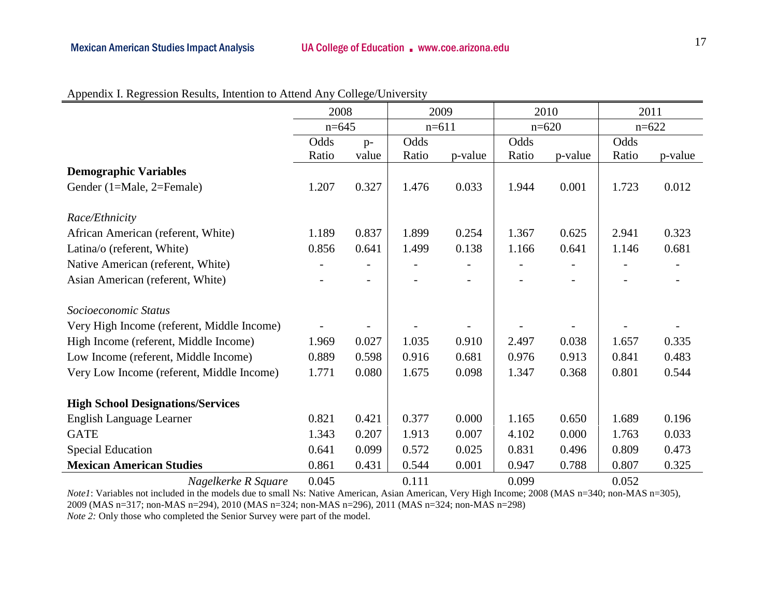|                                            | 2008    |       | 2009    |         | 2010    |                | 2011    |         |
|--------------------------------------------|---------|-------|---------|---------|---------|----------------|---------|---------|
|                                            | $n=645$ |       | $n=611$ |         | $n=620$ |                | $n=622$ |         |
|                                            | Odds    | $p-$  | Odds    |         | Odds    |                | Odds    |         |
|                                            | Ratio   | value | Ratio   | p-value | Ratio   | p-value        | Ratio   | p-value |
| <b>Demographic Variables</b>               |         |       |         |         |         |                |         |         |
| Gender (1=Male, 2=Female)                  | 1.207   | 0.327 | 1.476   | 0.033   | 1.944   | 0.001          | 1.723   | 0.012   |
|                                            |         |       |         |         |         |                |         |         |
| Race/Ethnicity                             |         |       |         |         |         |                |         |         |
| African American (referent, White)         | 1.189   | 0.837 | 1.899   | 0.254   | 1.367   | 0.625          | 2.941   | 0.323   |
| Latina/o (referent, White)                 | 0.856   | 0.641 | 1.499   | 0.138   | 1.166   | 0.641          | 1.146   | 0.681   |
| Native American (referent, White)          |         |       |         |         |         |                |         |         |
| Asian American (referent, White)           |         | -     |         |         |         | $\overline{a}$ |         |         |
| Socioeconomic Status                       |         |       |         |         |         |                |         |         |
| Very High Income (referent, Middle Income) |         |       |         |         |         |                |         |         |
| High Income (referent, Middle Income)      | 1.969   | 0.027 | 1.035   | 0.910   | 2.497   | 0.038          | 1.657   | 0.335   |
| Low Income (referent, Middle Income)       | 0.889   | 0.598 | 0.916   | 0.681   | 0.976   | 0.913          | 0.841   | 0.483   |
| Very Low Income (referent, Middle Income)  | 1.771   | 0.080 | 1.675   | 0.098   | 1.347   | 0.368          | 0.801   | 0.544   |
| <b>High School Designations/Services</b>   |         |       |         |         |         |                |         |         |
| English Language Learner                   | 0.821   | 0.421 | 0.377   | 0.000   | 1.165   | 0.650          | 1.689   | 0.196   |
| <b>GATE</b>                                | 1.343   | 0.207 | 1.913   | 0.007   | 4.102   | 0.000          | 1.763   | 0.033   |
| <b>Special Education</b>                   | 0.641   | 0.099 | 0.572   | 0.025   | 0.831   | 0.496          | 0.809   | 0.473   |
| <b>Mexican American Studies</b>            | 0.861   | 0.431 | 0.544   | 0.001   | 0.947   | 0.788          | 0.807   | 0.325   |
| Nagelkerke R Square                        | 0.045   |       | 0.111   |         | 0.099   |                | 0.052   |         |

#### Appendix I. Regression Results, Intention to Attend Any College/University

*Note1*: Variables not included in the models due to small Ns: Native American, Asian American, Very High Income; 2008 (MAS n=340; non-MAS n=305), 2009 (MAS n=317; non-MAS n=294), 2010 (MAS n=324; non-MAS n=296), 2011 (MAS n=324; non-MAS n=298) *Note 2:* Only those who completed the Senior Survey were part of the model.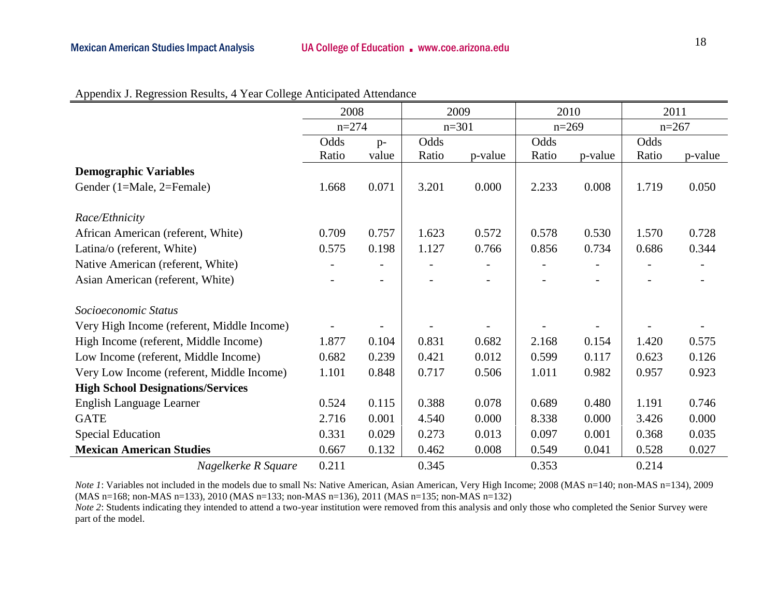|                                            | 2008      |       | 2009    |         | 2010    |         | 2011      |         |
|--------------------------------------------|-----------|-------|---------|---------|---------|---------|-----------|---------|
|                                            | $n = 274$ |       | $n=301$ |         | $n=269$ |         | $n = 267$ |         |
|                                            | Odds      | $p-$  | Odds    |         | Odds    |         | Odds      |         |
|                                            | Ratio     | value | Ratio   | p-value | Ratio   | p-value | Ratio     | p-value |
| <b>Demographic Variables</b>               |           |       |         |         |         |         |           |         |
| Gender (1=Male, 2=Female)                  | 1.668     | 0.071 | 3.201   | 0.000   | 2.233   | 0.008   | 1.719     | 0.050   |
| Race/Ethnicity                             |           |       |         |         |         |         |           |         |
| African American (referent, White)         | 0.709     | 0.757 | 1.623   | 0.572   | 0.578   | 0.530   | 1.570     | 0.728   |
| Latina/o (referent, White)                 | 0.575     | 0.198 | 1.127   | 0.766   | 0.856   | 0.734   | 0.686     | 0.344   |
| Native American (referent, White)          |           |       |         |         |         |         |           |         |
| Asian American (referent, White)           |           |       |         |         |         |         |           |         |
| Socioeconomic Status                       |           |       |         |         |         |         |           |         |
| Very High Income (referent, Middle Income) |           |       |         |         |         |         |           |         |
| High Income (referent, Middle Income)      | 1.877     | 0.104 | 0.831   | 0.682   | 2.168   | 0.154   | 1.420     | 0.575   |
| Low Income (referent, Middle Income)       | 0.682     | 0.239 | 0.421   | 0.012   | 0.599   | 0.117   | 0.623     | 0.126   |
| Very Low Income (referent, Middle Income)  | 1.101     | 0.848 | 0.717   | 0.506   | 1.011   | 0.982   | 0.957     | 0.923   |
| <b>High School Designations/Services</b>   |           |       |         |         |         |         |           |         |
| English Language Learner                   | 0.524     | 0.115 | 0.388   | 0.078   | 0.689   | 0.480   | 1.191     | 0.746   |
| <b>GATE</b>                                | 2.716     | 0.001 | 4.540   | 0.000   | 8.338   | 0.000   | 3.426     | 0.000   |
| <b>Special Education</b>                   | 0.331     | 0.029 | 0.273   | 0.013   | 0.097   | 0.001   | 0.368     | 0.035   |
| <b>Mexican American Studies</b>            | 0.667     | 0.132 | 0.462   | 0.008   | 0.549   | 0.041   | 0.528     | 0.027   |
| Nagelkerke R Square                        | 0.211     |       | 0.345   |         | 0.353   |         | 0.214     |         |

Appendix J. Regression Results, 4 Year College Anticipated Attendance

*Note 1*: Variables not included in the models due to small Ns: Native American, Asian American, Very High Income; 2008 (MAS n=140; non-MAS n=134), 2009 (MAS n=168; non-MAS n=133), 2010 (MAS n=133; non-MAS n=136), 2011 (MAS n=135; non-MAS n=132)

*Note 2*: Students indicating they intended to attend a two-year institution were removed from this analysis and only those who completed the Senior Survey were part of the model.